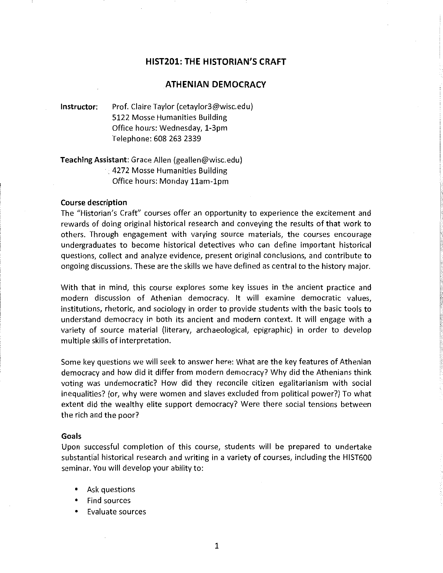# **HIST201: THE HISTORIAN'S CRAFT**

# **ATHENIAN DEMOCRACY**

**Instructor:** Prof. Claire Taylor (cetaylor3@wisc.edu) 5122 Mosse Humanities Building Office hours: Wednesday, 1-3pm Telephone: 608 263 2339

**Teaching Assistant:** Grace Allen {geallen@wisc.edu) . 4272 Mosse Humanities Building Office hours: Monday 11am-1pm

#### **Course description**

The "Historian's Craft" courses offer an opportunity to experience the excitement and rewards of doing original historical research and conveying the results of that work to others. Through engagement with varying source materials, the courses encourage undergraduates to become historical detectives who can define important historical questions, collect and analyze evidence, present original conclusions, and contribute to ongoing discussions. These are the skills we have defined as central to the history major.

With that in mind, this course explores some key issues in the ancient practice and modern discussion of Athenian democracy. It will examine democratic values, institutions, rhetoric, and sociology in order to provide students with the basic tools to understand democracy in both its ancient and modern context. It will engage with a variety of source material (literary, archaeological, epigraphic) in order to develop multiple skills of interpretation.

Some key questions we will seek to answer here: What are the key features of Athenian democracy and how did it differ from modern democracy? Why did the Athenians think voting was undemocratic? How did they reconcile citizen egalitarianism with social inequalities? {or, why were women and slaves excluded from political power?) To what extent did the wealthy elite support democracy? Were there social tensions between the rich and the poor?

#### **Goals**

Upon successful completion of this course, students will be prepared to undertake substantial historical research and writing in a variety of courses, including the HIST600 seminar. You will develop your ability to:

- Ask questions
- Find sources
- Evaluate sources

1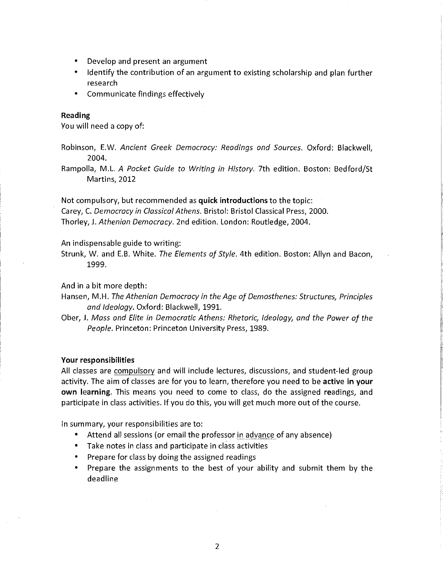- Develop and present an argument
- Identify the contribution of an argument to existing scholarship and plan further research
- Communicate findings effectively

# **Reading**

You will need a copy of:

Robinson, E.W. *Ancient Greek Democracy: Readings and Sources.* Oxford: Blackwell, 2004.

Rampolla, M.L. *A Pocket Guide to Writing in History.* 7th edition. Boston: Bedford/St Martins, 2012

Not compulsory, but recommended as **quick introductions** to the topic: Carey, C. *Democracy in Classical Athens.* Bristol: Bristol Classical Press, 2000. Thorley, J. *Athenian Democracy.* 2nd edition. London: Routledge, 2004.

An indispensable guide to writing:

Strunk, W. and E.B. White. *The Elements of Style.* 4th edition. Boston: Allyn and Bacon, 1999.

And in a bit more depth:

- Hansen, M.H. *The Athenian Democracy in the Age of Demosthenes: Structures, Principles and Ideology.* Oxford: Blackwell, 1991.
- Ober, J. *Mass and Elite in Democratic Athens: Rhetoric, Ideology, and the Power of the People.* Princeton: Princeton University Press, 1989.

#### **Your responsibilities**

All classes are compulsory and will include lectures, discussions, and student-led group activity. The aim of classes are for you to learn, therefore you need to be **active in your own learning.** This means you need to come to class, do the assigned readings, and participate in class activities. If you do this, you will get much more out of the course.

In summary, your responsibilities are to:

- Attend all sessions (or email the professor in advance of any absence)
- Take notes in class and participate in class activities
- Prepare for class by doing the assigned readings
- Prepare the assignments to the best of your ability and submit them by the deadline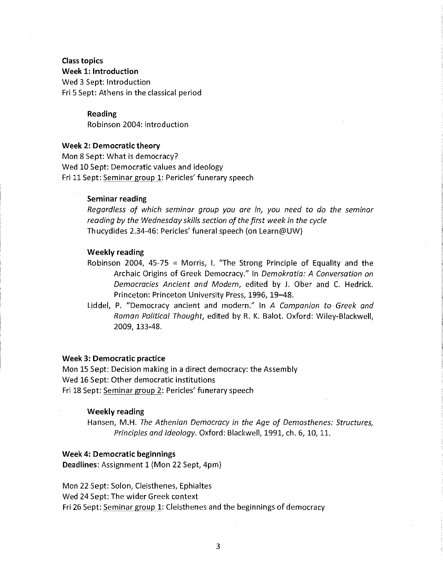# Class topics Week 1: Introduction Wed 3 Sept: Introduction Fri 5 Sept: Athens in the classical period

Reading Robinson 2004: introduction

## Week 2: Democratic theory

Mon 8 Sept: What is democracy? Wed 10 Sept: Democratic values and ideology Fri 11 Sept: Seminar group 1: Pericles' funerary speech

## Seminar reading

*Regardless of which seminar group you are in, you need to do the seminar reading by the Wednesday skills section of the first week in the cycle*  Thucydides 2.34-46: Pericles' funeral speech (on Learn@UW)

## Weekly reading

- Robinson 2004, 45-75 = Morris, I. "The Strong Principle of Equality and the Archaic Origins of Greek Democracy." In *Demokratia: A Conversation on Democracies Ancient and Modern,* edited by J. Ober and C. Hedrick. Princeton: Princeton University Press, 1996, 19-48.
- Liddel, P. "Democracy ancient and modern." In *A Companion to Greek and Roman Political Thought,* edited by R. K. Balot. Oxford: Wiley-Blackwell, 2009, 133-48.

## Week 3: Democratic practice

Mon 15 Sept: Decision making in a direct democracy: the Assembly Wed 16 Sept: Other democratic institutions Fri 18 Sept: Seminar group 2: Pericles' funerary speech

# Weekly reading

Hansen, M.H. *The Athenian Democracy in the Age of Demosthenes: Structures, Principles and Ideology.* Oxford: Blackwell, 1991, ch. 6, 10, 11.

# Week 4: Democratic beginnings

Deadlines: Assignment 1 (Mon 22 Sept, 4pm)

Mon 22 Sept: Solon, Cleisthenes, Ephialtes Wed 24 Sept: The wider Greek context Fri 26 Sept: Seminar group 1: Cleisthenes and the beginnings of democracy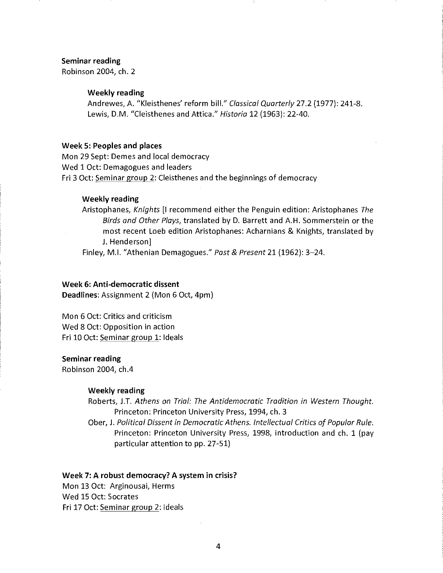#### Seminar reading

Robinson 2004, ch. 2

#### Weekly reading

Andrewes, A. "Kleisthenes' reform bill." *Classical Quarterly* 27.2 (1977): 241-8. Lewis, D.M. "Cleisthenes and Attica." *Historia* 12 (1963): 22-40.

#### Week S: Peoples and places

Mon 29 Sept: Demes and local democracy Wed 1 Oct: Demagogues and leaders Fri 3 Oct: Seminar group 2: Cleisthenes and the beginnings of democracy

#### Weekly reading

Aristophanes, *Knights* [I recommend either the Penguin edition: Aristophanes *The Birds and Other Ploys,* translated by D. Barrett and A.H. Sommerstein or the most recent Loeb edition Aristophanes: Acharnians & Knights, translated by J. Henderson]

Finley, M.I. "Athenian Demagogues." *Past* & *Present* 21 (1962): 3-24.

# Week 6: Anti-democratic dissent

Deadlines: Assignment 2 (Mon 6 Oct, 4pm)

Mon 6 Oct: Critics and criticism Wed 8 Oct: Opposition in action Fri 10 Oct: Seminar group 1: Ideals

#### Seminar reading

Robinson 2004, ch.4

## Weekly reading

Roberts, J.T. *Athens on Trial: The Antidemocratic Tradition in Western Thought.*  Princeton: Princeton University Press, 1994, ch. 3

Ober, J. *Political Dissent in Democratic Athens. Intellectual Critics of Popular Rule.*  Princeton: Princeton University Press, 1998, introduction and ch. 1 (pay particular attention to pp. 27-51)

#### Week 7: A robust democracy? A system in crisis?

Mon 13 Oct: Arginousai, Herms Wed 15 Oct: Socrates Fri 17 Oct: Seminar group 2: Ideals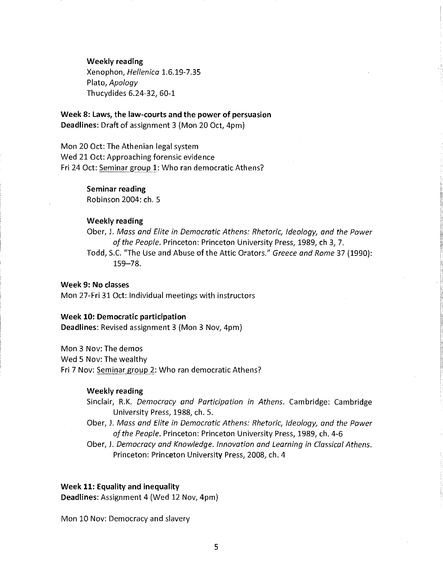Weekly reading

Xenophon, *Hellenica* 1.6.19-7.35 Plato, *Apology*  Thucydides 6.24-32, 60-1

Week 8: Laws, the law-courts and the power of persuasion Deadlines: Draft of assignment 3 (Mon 20 Oct, 4pm)

Mon 20 Oct: The Athenian legal system Wed 21 Oct: Approaching forensic evidence Fri 24 Oct: Seminar group 1: Who ran democratic Athens?

# Seminar reading

Robinson 2004: ch. 5

## Weekly reading

Ober, J. *Mass and Elite in Democratic Athens: Rhetoric, Ideology, and the Power of the People.* Princeton: Princeton University Press, 1989, ch 3, 7. Todd, S.C. "The Use and Abuse of the Attic Orators." *Greece and Rome* 37 (1990): 159-78.

#### Week 9: No classes

Mon 27-Fri 31 Oct: Individual meetings with instructors

#### Week 10: Democratic participation

Deadlines: Revised assignment 3 (Mon 3 Nov, 4pm)

Mon 3 Nov: The demos

Wed 5 Nov: The wealthy

Fri 7 Nov: Seminar group 2: Who ran democratic Athens?

#### Weekly reading

Sinclair, R.K. *Democracy and Participation in Athens*. Cambridge: Cambridge University Press, 1988, ch. 5.

Ober, J. *Mass and Elite in Democratic Athens: Rhetoric, Ideology, and the Power of the People.* Princeton: Princeton University Press, 1989, ch. 4-6

Ober, J. *Democracy and Knowledge. Innovation and Learning in Classical Athens.*  Princeton: Princeton University Press, 2008, ch. 4

### Week 11: Equality and inequality

Deadlines: Assignment 4 (Wed 12 Nov, 4pm)

Mon 10 Nov: Democracy and slavery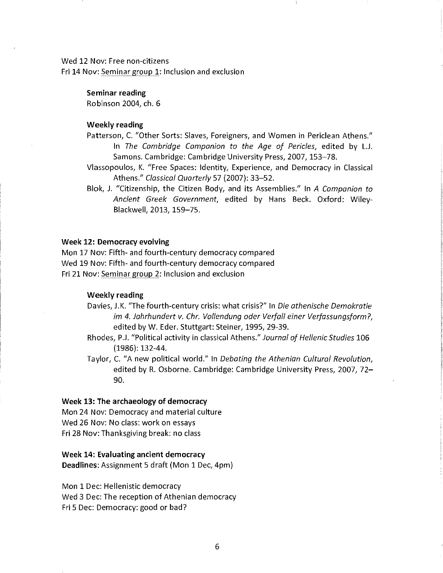Wed 12 Nov: Free non-citizens Fri 14 Nov: Seminar group 1: Inclusion and exclusion

#### Seminar reading

Robinson 2004, ch. 6

## Weekly reading

Patterson, C. "Other Sorts: Slaves, Foreigners, and Women in Periclean Athens." In *The Cambridge Campanion to the Age of Pericles*, edited by L.J. Samons. Cambridge: Cambridge University Press, 2007, 153-78.

Vlassopoulos, K. "Free Spaces: Identity, Experience, and Democracy in Classical Athens." *Classical Quarterly* 57 (2007): 33-52.

Blok, J. "Citizenship, the Citizen Body, and its Assemblies." In *A Companion to Ancient Greek Government,* edited by Hans Beck. Oxford: Wiley-Blackwell, 2013, 159-75.

#### Week 12: Democracy evolving

Mon 17 Nov: Fifth- and fourth-century democracy compared Wed 19 Nov: Fifth- and fourth-century democracy compared Fri 21 Nov: Seminar group 2: Inclusion and exclusion

## Weekly reading

- Davies, J.K. "The fourth-century crisis: what crisis?" In *Die athenische Demokratie im 4. Jahrhundert v. Chr. Vollendung oder Verfall einer Verfassungsform ?,*  edited by W. Eder. Stuttgart: Steiner, 1995, 29-39.
- Rhodes, P.J. "Political activity in classical Athens." *Journal of Hellenic Studies* 106 (1986): 132-44.
- Taylor, C. "A new political world." In *Debating the Athenian Cultural Revolution,*  edited by R. Osborne. Cambridge: Cambridge University Press, 2007, 72- 90.

#### Week 13: The archaeology of democracy

Mon 24 Nov: Democracy and material culture Wed 26 Nov: No class: work on essays Fri 28 Nov: Thanksgiving break: no class

# Week 14: Evaluating ancient democracy Deadlines: Assignment 5 draft (Mon 1 Dec, 4pm)

Mon 1 Dec: Hellenistic democracy Wed 3 Dec: The reception of Athenian democracy Fri 5 Dec: Democracy: good or bad?